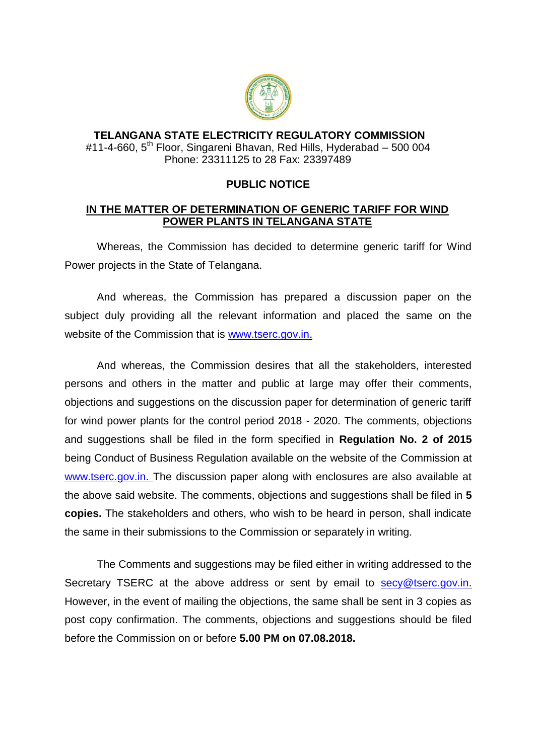

## **TELANGANA STATE ELECTRICITY REGULATORY COMMISSION** #11-4-660, 5<sup>th</sup> Floor, Singareni Bhavan, Red Hills, Hyderabad – 500 004 Phone: 23311125 to 28 Fax: 23397489

## **PUBLIC NOTICE**

## **IN THE MATTER OF DETERMINATION OF GENERIC TARIFF FOR WIND POWER PLANTS IN TELANGANA STATE**

Whereas, the Commission has decided to determine generic tariff for Wind Power projects in the State of Telangana.

And whereas, the Commission has prepared a discussion paper on the subject duly providing all the relevant information and placed the same on the website of the Commission that is [www.tserc.gov.in.](http://www.tserc.gov.in/)

And whereas, the Commission desires that all the stakeholders, interested persons and others in the matter and public at large may offer their comments, objections and suggestions on the discussion paper for determination of generic tariff for wind power plants for the control period 2018 - 2020. The comments, objections and suggestions shall be filed in the form specified in **Regulation No. 2 of 2015**  being Conduct of Business Regulation available on the website of the Commission at [www.tserc.gov.in. T](http://www.tserc.gov.in/)he discussion paper along with enclosures are also available at the above said website. The comments, objections and suggestions shall be filed in **5 copies.** The stakeholders and others, who wish to be heard in person, shall indicate the same in their submissions to the Commission or separately in writing.

The Comments and suggestions may be filed either in writing addressed to the Secretary TSERC at the above address or sent by email to [secy@tserc.gov.in.](mailto:secy@tserc.gov.in) However, in the event of mailing the objections, the same shall be sent in 3 copies as post copy confirmation. The comments, objections and suggestions should be filed before the Commission on or before **5.00 PM on 07.08.2018.**